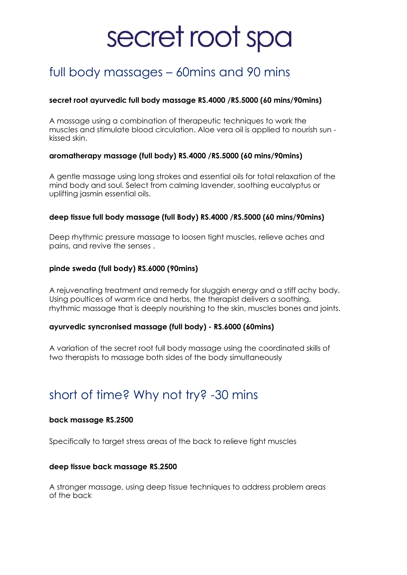# secret root spa

# full body massages – 60mins and 90 mins

## **secret root ayurvedic full body massage RS.4000 /RS.5000 (60 mins/90mins)**

A massage using a combination of therapeutic techniques to work the muscles and stimulate blood circulation. Aloe vera oil is applied to nourish sun kissed skin.

## **aromatherapy massage (full body) RS.4000 /RS.5000 (60 mins/90mins)**

A gentle massage using long strokes and essential oils for total relaxation of the mind body and soul. Select from calming lavender, soothing eucalyptus or uplifting jasmin essential oils.

## **deep tissue full body massage (full Body) RS.4000 /RS.5000 (60 mins/90mins)**

Deep rhythmic pressure massage to loosen tight muscles, relieve aches and pains, and revive the senses .

## **pinde sweda (full body) RS.6000 (90mins)**

A rejuvenating treatment and remedy for sluggish energy and a stiff achy body. Using poultices of warm rice and herbs, the therapist delivers a soothing, rhythmic massage that is deeply nourishing to the skin, muscles bones and joints.

#### **ayurvedic syncronised massage (full body) - RS.6000 (60mins)**

A variation of the secret root full body massage using the coordinated skills of two therapists to massage both sides of the body simultaneously

# short of time? Why not try? -30 mins

#### **back massage RS.2500**

Specifically to target stress areas of the back to relieve tight muscles

## **deep tissue back massage RS.2500**

A stronger massage, using deep tissue techniques to address problem areas of the back